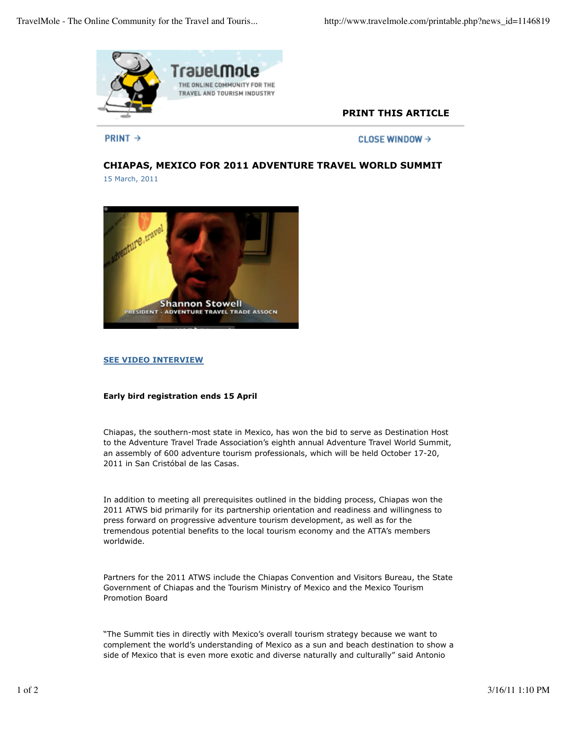

# **PRINT THIS ARTICLE**

**PRINT**  $\rightarrow$ 

CLOSE WINDOW →

# **CHIAPAS, MEXICO FOR 2011 ADVENTURE TRAVEL WORLD SUMMIT** 15 March, 2011



#### **SEE VIDEO INTERVIEW**

## **Early bird registration ends 15 April**

Chiapas, the southern-most state in Mexico, has won the bid to serve as Destination Host to the Adventure Travel Trade Association's eighth annual Adventure Travel World Summit, an assembly of 600 adventure tourism professionals, which will be held October 17-20, 2011 in San Cristóbal de las Casas.

In addition to meeting all prerequisites outlined in the bidding process, Chiapas won the 2011 ATWS bid primarily for its partnership orientation and readiness and willingness to press forward on progressive adventure tourism development, as well as for the tremendous potential benefits to the local tourism economy and the ATTA's members worldwide.

Partners for the 2011 ATWS include the Chiapas Convention and Visitors Bureau, the State Government of Chiapas and the Tourism Ministry of Mexico and the Mexico Tourism Promotion Board

"The Summit ties in directly with Mexico's overall tourism strategy because we want to complement the world's understanding of Mexico as a sun and beach destination to show a side of Mexico that is even more exotic and diverse naturally and culturally" said Antonio